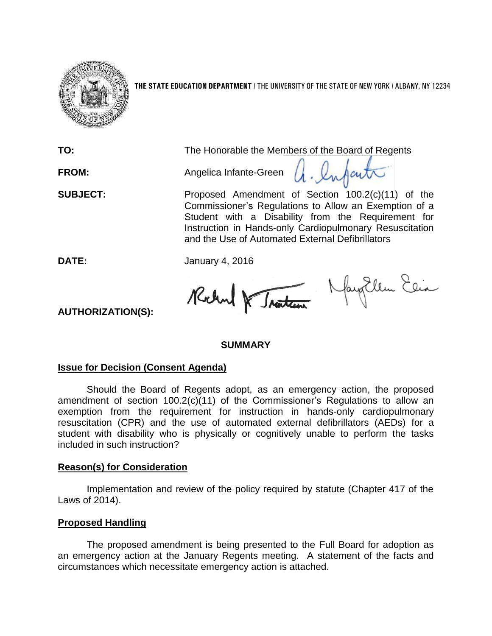

**THE STATE EDUCATION DEPARTMENT** / THE UNIVERSITY OF THE STATE OF NEW YORK / ALBANY, NY 12234

**TO:** The Honorable the Members of the Board of Regents a. Infact **FROM:** Angelica Infante-Green **SUBJECT:** Proposed Amendment of Section 100.2(c)(11) of the Commissioner's Regulations to Allow an Exemption of a Student with a Disability from the Requirement for Instruction in Hands-only Cardiopulmonary Resuscitation and the Use of Automated External Defibrillators

**DATE:** January 4, 2016

Robert & Traction Navy Ellen Elia

**AUTHORIZATION(S):**

# **SUMMARY**

# **Issue for Decision (Consent Agenda)**

Should the Board of Regents adopt, as an emergency action, the proposed amendment of section 100.2(c)(11) of the Commissioner's Regulations to allow an exemption from the requirement for instruction in hands-only cardiopulmonary resuscitation (CPR) and the use of automated external defibrillators (AEDs) for a student with disability who is physically or cognitively unable to perform the tasks included in such instruction?

# **Reason(s) for Consideration**

Implementation and review of the policy required by statute (Chapter 417 of the Laws of 2014).

# **Proposed Handling**

The proposed amendment is being presented to the Full Board for adoption as an emergency action at the January Regents meeting. A statement of the facts and circumstances which necessitate emergency action is attached.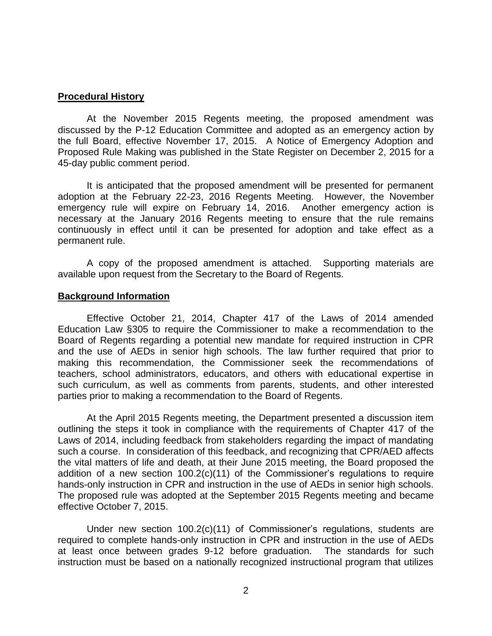#### **Procedural History**

At the November 2015 Regents meeting, the proposed amendment was discussed by the P-12 Education Committee and adopted as an emergency action by the full Board, effective November 17, 2015. A Notice of Emergency Adoption and Proposed Rule Making was published in the State Register on December 2, 2015 for a 45-day public comment period.

It is anticipated that the proposed amendment will be presented for permanent adoption at the February 22-23, 2016 Regents Meeting. However, the November emergency rule will expire on February 14, 2016. Another emergency action is necessary at the January 2016 Regents meeting to ensure that the rule remains continuously in effect until it can be presented for adoption and take effect as a permanent rule.

A copy of the proposed amendment is attached. Supporting materials are available upon request from the Secretary to the Board of Regents.

#### **Background Information**

Effective October 21, 2014, Chapter 417 of the Laws of 2014 amended Education Law §305 to require the Commissioner to make a recommendation to the Board of Regents regarding a potential new mandate for required instruction in CPR and the use of AEDs in senior high schools. The law further required that prior to making this recommendation, the Commissioner seek the recommendations of teachers, school administrators, educators, and others with educational expertise in such curriculum, as well as comments from parents, students, and other interested parties prior to making a recommendation to the Board of Regents.

At the April 2015 Regents meeting, the Department presented a discussion item outlining the steps it took in compliance with the requirements of Chapter 417 of the Laws of 2014, including feedback from stakeholders regarding the impact of mandating such a course. In consideration of this feedback, and recognizing that CPR/AED affects the vital matters of life and death, at their June 2015 meeting, the Board proposed the addition of a new section 100.2(c)(11) of the Commissioner's regulations to require hands-only instruction in CPR and instruction in the use of AEDs in senior high schools. The proposed rule was adopted at the September 2015 Regents meeting and became effective October 7, 2015.

Under new section 100.2(c)(11) of Commissioner's regulations, students are required to complete hands-only instruction in CPR and instruction in the use of AEDs at least once between grades 9-12 before graduation. The standards for such instruction must be based on a nationally recognized instructional program that utilizes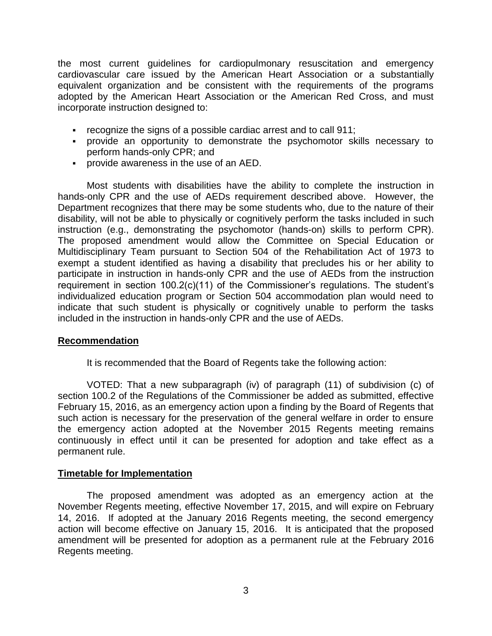the most current guidelines for cardiopulmonary resuscitation and emergency cardiovascular care issued by the American Heart Association or a substantially equivalent organization and be consistent with the requirements of the programs adopted by the American Heart Association or the American Red Cross, and must incorporate instruction designed to:

- recognize the signs of a possible cardiac arrest and to call 911;
- provide an opportunity to demonstrate the psychomotor skills necessary to perform hands-only CPR; and
- provide awareness in the use of an AED.

Most students with disabilities have the ability to complete the instruction in hands-only CPR and the use of AEDs requirement described above. However, the Department recognizes that there may be some students who, due to the nature of their disability, will not be able to physically or cognitively perform the tasks included in such instruction (e.g., demonstrating the psychomotor (hands-on) skills to perform CPR). The proposed amendment would allow the Committee on Special Education or Multidisciplinary Team pursuant to Section 504 of the Rehabilitation Act of 1973 to exempt a student identified as having a disability that precludes his or her ability to participate in instruction in hands-only CPR and the use of AEDs from the instruction requirement in section 100.2(c)(11) of the Commissioner's regulations. The student's individualized education program or Section 504 accommodation plan would need to indicate that such student is physically or cognitively unable to perform the tasks included in the instruction in hands-only CPR and the use of AEDs.

# **Recommendation**

It is recommended that the Board of Regents take the following action:

VOTED: That a new subparagraph (iv) of paragraph (11) of subdivision (c) of section 100.2 of the Regulations of the Commissioner be added as submitted, effective February 15, 2016, as an emergency action upon a finding by the Board of Regents that such action is necessary for the preservation of the general welfare in order to ensure the emergency action adopted at the November 2015 Regents meeting remains continuously in effect until it can be presented for adoption and take effect as a permanent rule.

# **Timetable for Implementation**

The proposed amendment was adopted as an emergency action at the November Regents meeting, effective November 17, 2015, and will expire on February 14, 2016. If adopted at the January 2016 Regents meeting, the second emergency action will become effective on January 15, 2016. It is anticipated that the proposed amendment will be presented for adoption as a permanent rule at the February 2016 Regents meeting.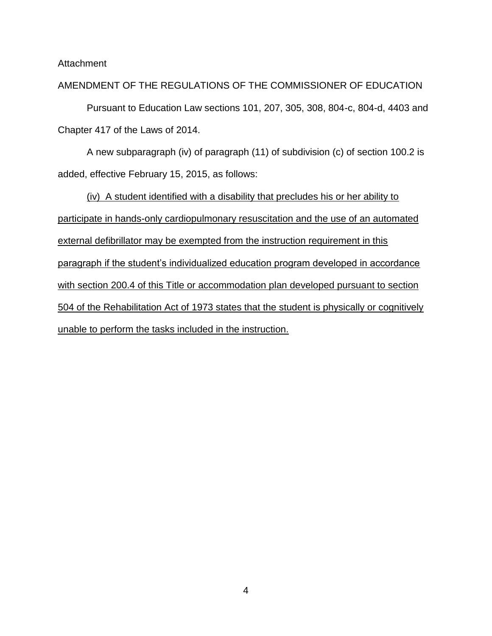Attachment

#### AMENDMENT OF THE REGULATIONS OF THE COMMISSIONER OF EDUCATION

Pursuant to Education Law sections 101, 207, 305, 308, 804-c, 804-d, 4403 and Chapter 417 of the Laws of 2014.

A new subparagraph (iv) of paragraph (11) of subdivision (c) of section 100.2 is added, effective February 15, 2015, as follows:

(iv) A student identified with a disability that precludes his or her ability to participate in hands-only cardiopulmonary resuscitation and the use of an automated external defibrillator may be exempted from the instruction requirement in this paragraph if the student's individualized education program developed in accordance with section 200.4 of this Title or accommodation plan developed pursuant to section 504 of the Rehabilitation Act of 1973 states that the student is physically or cognitively unable to perform the tasks included in the instruction.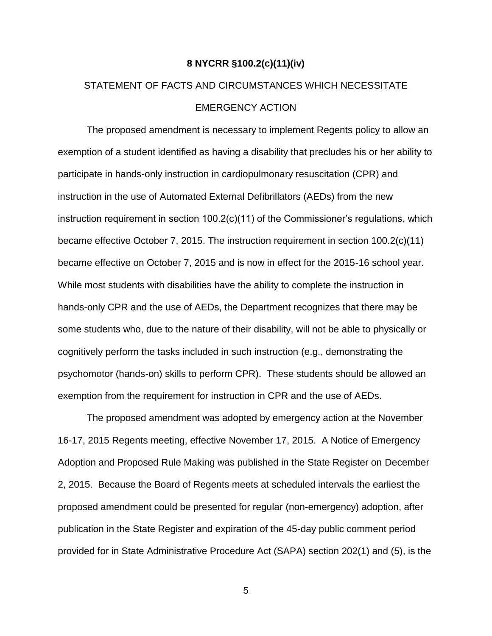#### **8 NYCRR §100.2(c)(11)(iv)**

# STATEMENT OF FACTS AND CIRCUMSTANCES WHICH NECESSITATE EMERGENCY ACTION

The proposed amendment is necessary to implement Regents policy to allow an exemption of a student identified as having a disability that precludes his or her ability to participate in hands-only instruction in cardiopulmonary resuscitation (CPR) and instruction in the use of Automated External Defibrillators (AEDs) from the new instruction requirement in section 100.2(c)(11) of the Commissioner's regulations, which became effective October 7, 2015. The instruction requirement in section 100.2(c)(11) became effective on October 7, 2015 and is now in effect for the 2015-16 school year. While most students with disabilities have the ability to complete the instruction in hands-only CPR and the use of AEDs, the Department recognizes that there may be some students who, due to the nature of their disability, will not be able to physically or cognitively perform the tasks included in such instruction (e.g., demonstrating the psychomotor (hands-on) skills to perform CPR). These students should be allowed an exemption from the requirement for instruction in CPR and the use of AEDs.

The proposed amendment was adopted by emergency action at the November 16-17, 2015 Regents meeting, effective November 17, 2015. A Notice of Emergency Adoption and Proposed Rule Making was published in the State Register on December 2, 2015. Because the Board of Regents meets at scheduled intervals the earliest the proposed amendment could be presented for regular (non-emergency) adoption, after publication in the State Register and expiration of the 45-day public comment period provided for in State Administrative Procedure Act (SAPA) section 202(1) and (5), is the

5